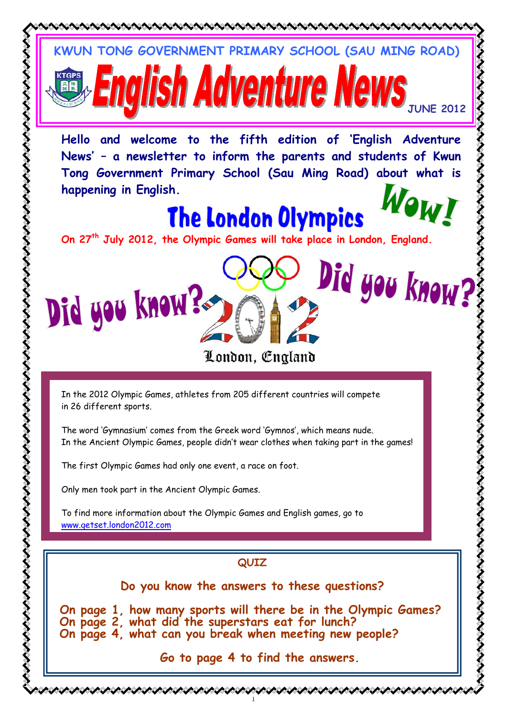

いくうつう うくうくう うくう

とくらくらくらくらくらくらく ちょうちょうちょう ちょうちょう

**Go to page 4 to find the answers.** 

1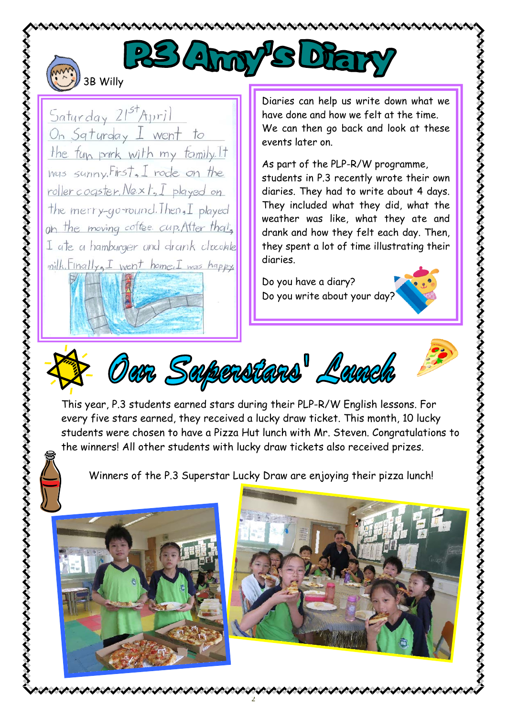

いううういう うつううう うううう うううう ううう

## PS Any SLE 3B Willy

Saturday 21st April On Sqturday I went to the fun park with my family. It was sunny. First, I rode on the roller cogster, Next, I played on the merry-go-round. Then, I played on the moving coffee cup. After that, I ate a hamburger and drank chocolate milk. Finally, I went home. I was happy

Diaries can help us write down what we have done and how we felt at the time. We can then go back and look at these events later on.

As part of the PLP-R/W programme, students in P.3 recently wrote their own diaries. They had to write about 4 days. They included what they did, what the weather was like, what they ate and drank and how they felt each day. Then, they spent a lot of time illustrating their diaries.

Do you have a diary? Do you write about your day?





This year, P.3 students earned stars during their PLP-R/W English lessons. For every five stars earned, they received a lucky draw ticket. This month, 10 lucky students were chosen to have a Pizza Hut lunch with Mr. Steven. Congratulations to the winners! All other students with lucky draw tickets also received prizes.

Winners of the P.3 Superstar Lucky Draw are enjoying their pizza lunch!

2



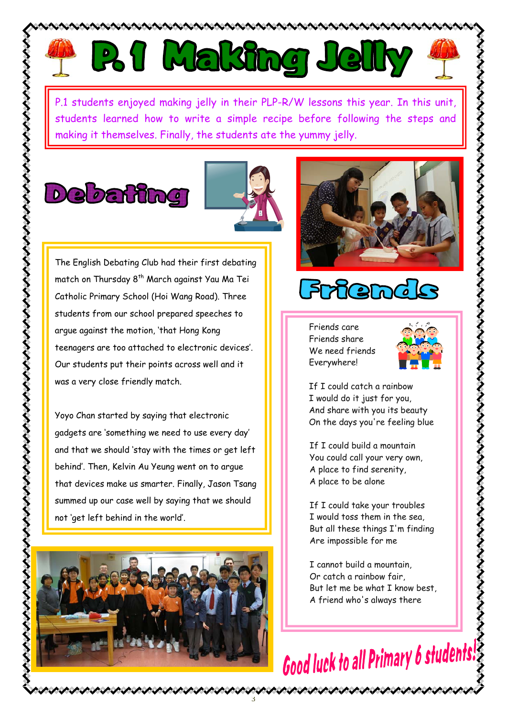



P.1 students enjoyed making jelly in their PLP-R/W lessons this year. In this unit, students learned how to write a simple recipe before following the steps and making it themselves. Finally, the students ate the yummy jelly.

ANCANAN

## **Debating**



3

The English Debating Club had their first debating match on Thursday 8<sup>th</sup> March against Yau Ma Tei Catholic Primary School (Hoi Wang Road). Three students from our school prepared speeches to argue against the motion, 'that Hong Kong teenagers are too attached to electronic devices'. Our students put their points across well and it was a very close friendly match.

 and that we should 'stay with the times or get left Yoyo Chan started by saying that electronic gadgets are 'something we need to use every day' behind'. Then, Kelvin Au Yeung went on to argue that devices make us smarter. Finally, Jason Tsang summed up our case well by saying that we should not 'get left behind in the world'.





## *Frier*

Friends care Friends share We need friends Everywhere!



If I could catch a rainbow I would do it just for you, And share with you its beauty On the days you're feeling blue

 If I could build a mountain You could call your very own, A place to find serenity, A place to be alone

If I could take your troubles I would toss them in the sea, But all these things I'm finding Are impossible for me

I cannot build a mountain, Or catch a rainbow fair But let me be what I know best, A friend who's always there

ノイイイイイイイイイイイ